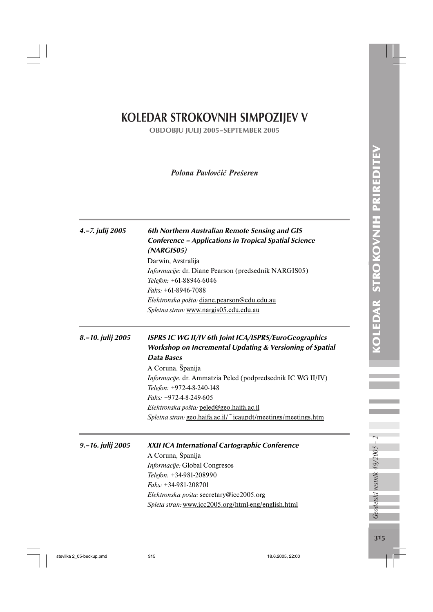# KOLEDAR STROKOVNIH SIMPOZIJEV V

OBDOBJU JULIJ 2005–SEPTEMBER 2005

# *Polona Pavlovčič Prešeren*

| 4.-7. julij 2005  | 6th Northern Australian Remote Sensing and GIS<br><b>Conference - Applications in Tropical Spatial Science</b><br>(NARGIS05)<br>Darwin, Avstralija<br>Informacije: dr. Diane Pearson (predsednik NARGIS05)<br>Telefon: +61-88946-6046<br>$Faks: +61-8946-7088$<br>Elektronska pošta: diane.pearson@cdu.edu.au<br>Spletna stran: www.nargis05.cdu.edu.au                                            |
|-------------------|----------------------------------------------------------------------------------------------------------------------------------------------------------------------------------------------------------------------------------------------------------------------------------------------------------------------------------------------------------------------------------------------------|
| 8.–10. julij 2005 | ISPRS IC WG II/IV 6th Joint ICA/ISPRS/EuroGeographics<br><b>Workshop on Incremental Updating &amp; Versioning of Spatial</b><br>Data Bases<br>A Coruna, Španija<br>Informacije: dr. Ammatzia Peled (podpredsednik IC WG II/IV)<br>Telefon: +972-4-8-240-148<br>Faks: +972-4-8-249-605<br>Elektronska pošta: peled@geo.haifa.ac.il<br>Spletna stran: geo.haifa.ac.il/"icaupdt/meetings/meetings.htm |
| 9.-16. julij 2005 | XXII ICA International Cartographic Conference<br>A Coruna, Španija<br>Informacije: Global Congresos<br>Telefon: +34-981-208990<br>$Faks: +34-981-208701$<br>Elektronska pošta: secretary@icc2005.org<br>Spleta stran: www.icc2005.org/html-eng/english.html                                                                                                                                       |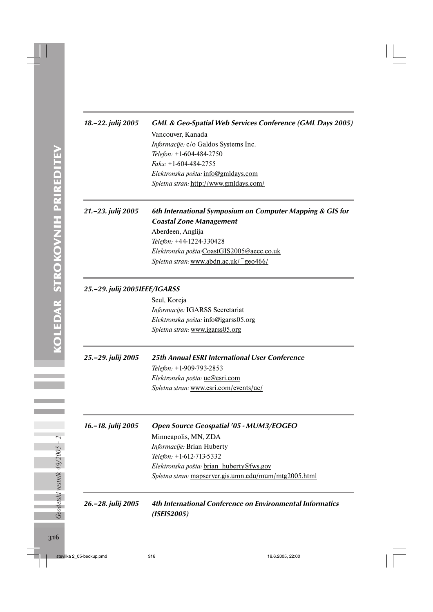# 18.–22. julij 2005 GML & Geo-Spatial Web Services Conference (GML Days 2005) Vancouver, Kanada *Informacije:* c/o Galdos Systems Inc. *Telefon:* +1-604-484-2750 *Faks:* +1-604-484-2755 *Elektronska pošta:* info@gmldays.com *Spletna stran:* http://www.gmldays.com/

# 21.–23. julij 2005 6th International Symposium on Computer Mapping & GIS for Coastal Zone Management

Aberdeen, Anglija *Telefon:* +44-1224-330428 *Elektronska pošta:*CoastGIS2005@aecc.co.uk *Spletna stran:* www.abdn.ac.uk/~geo466/

# 25.–29. julij 2005IEEE/IGARSS

Seul, Koreja *Informacije:* IGARSS Secretariat *Elektronska pošta:* info@igarss05.org *Spletna stran:* www.igarss05.org

# 25.–29. julij 2005 25th Annual ESRI International User Conference

*Telefon:* +1-909-793-2853 *Elektronska pošta:* uc@esri.com *Spletna stran:* www.esri.com/events/uc/

16.–18. julij 2005 Open Source Geospatial '05 - MUM3/EOGEO Minneapolis, MN, ZDA *Informacije:* Brian Huberty *Telefon:* +1-612-713-5332 *Elektronska pošta:* brian\_huberty@fws.gov *Spletna stran:* mapserver.gis.umn.edu/mum/mtg2005.html

# 26.–28. julij 2005 4th International Conference on Environmental Informatics (ISEIS2005)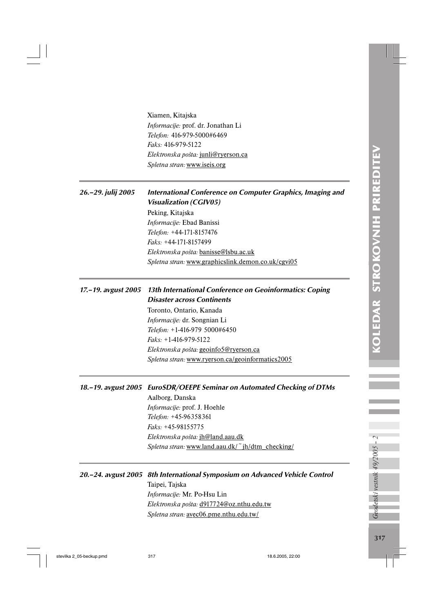Xiamen, Kitajska *Informacije:* prof. dr. Jonathan Li *Telefon:* 416-979-5000#6469 *Faks:* 416-979-5122 *Elektronska pošta:* junli@ryerson.ca *Spletna stran:* www.iseis.org

# 26.–29. julij 2005 International Conference on Computer Graphics, Imaging and Visualization (CGIV05)

Peking, Kitajska *Informacije:* Ebad Banissi *Telefon:* +44-171-8157476 *Faks:* +44-171-8157499 *Elektronska pošta:* banisse@lsbu.ac.uk *Spletna stran:* www.graphicslink.demon.co.uk/cgvi05

# 17.–19. avgust 2005 13th International Conference on Geoinformatics: Coping Disaster across Continents

Toronto, Ontario, Kanada *Informacije:* dr. Songnian Li *Telefon:* +1-416-979 5000#6450 *Faks:* +1-416-979-5122 *Elektronska pošta:* geoinfo5@ryerson.ca *Spletna stran:* www.ryerson.ca/geoinformatics2005

#### 18.–19. avgust 2005 EuroSDR/OEEPE Seminar on Automated Checking of DTMs

Aalborg, Danska *Informacije:* prof. J. Hoehle *Telefon:* +45-96358361 *Faks:* +45-98155775 *Elektronska pošta:* jh@land.aau.dk *Spletna stran:* www.land.aau.dk/~jh/dtm\_checking/

#### 20.–24. avgust 2005 8th International Symposium on Advanced Vehicle Control

Taipei, Tajska *Informacije:* Mr. Po-Hsu Lin *Elektronska pošta:* d917724@oz.nthu.edu.tw *Spletna stran:* avec06.pme.nthu.edu.tw/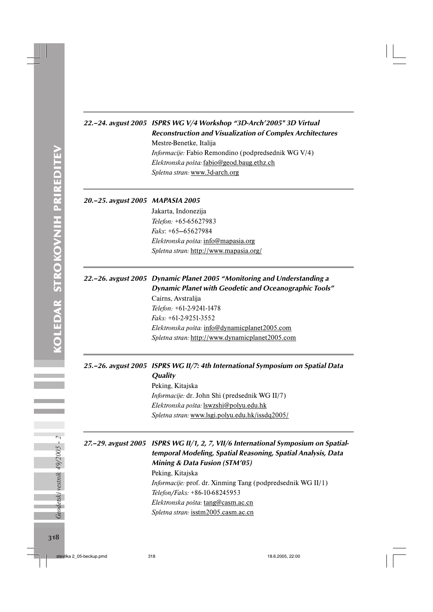# 22.–24. avgust 2005 ISPRS WG V/4 Workshop "3D-Arch'2005" 3D Virtual Reconstruction and Visualization of Complex Architectures Mestre-Benetke, Italija *Informacije:* Fabio Remondino (podpredsednik WG V/4) *Elektronska pošta:* fabio@geod.baug.ethz.ch

*Spletna stran:* www.3d-arch.org

#### 20.–25. avgust 2005 MAPASIA 2005

Jakarta, Indonezija *Telefon:* +65-65627983 *Faks*: +65—65627984 *Elektronska pošta:* info@mapasia.org *Spletna stran:* http://www.mapasia.org/

# 22.–26. avgust 2005 Dynamic Planet 2005 "Monitoring and Understanding a Dynamic Planet with Geodetic and Oceanographic Tools"

Cairns, Avstralija *Telefon:* +61-2-9241-1478 *Faks:* +61-2-9251-3552 *Elektronska pošta:* info@dynamicplanet2005.com *Spletna stran:* http://www.dynamicplanet2005.com

### 25.–26. avgust 2005 ISPRS WG II/7: 4th International Symposium on Spatial Data **Quality**

Peking, Kitajska *Informacije:* dr. John Shi (predsednik WG II/7) *Elektronska pošta:* lswzshi@polyu.edu.hk *Spletna stran:* www.lsgi.polyu.edu.hk/issdq2005/

# 27.–29. avgust 2005 ISPRS WG II/1, 2, 7, VII/6 International Symposium on Spatialtemporal Modeling, Spatial Reasoning, Spatial Analysis, Data Mining & Data Fusion (STM'05)

Peking, Kitajska *Informacije:* prof. dr. Xinming Tang (podpredsednik WG II/1) *Telefon/Faks:* +86-10-68245953 *Elektronska pošta:* tang@casm.ac.cn *Spletna stran:* isstm2005.casm.ac.cn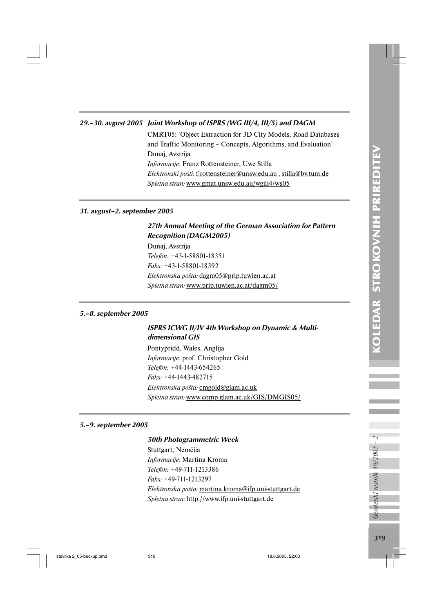## 29.–30. avgust 2005 Joint Workshop of ISPRS (WG III/4, III/5) and DAGM

CMRT05: 'Object Extraction for 3D City Models, Road Databases and Traffic Monitoring – Concepts, Algorithms, and Evaluation' Dunaj, Avstrija *Informacije:* Franz Rottensteiner, Uwe Stilla *Elektronski pošti:* f.rottensteiner@unsw.edu.au , stilla@bv.tum.de *Spletna stran:* www.gmat.unsw.edu.au/wgiii4/ws05

#### 31. avgust–2. september 2005

## 27th Annual Meeting of the German Association for Pattern Recognition (DAGM2005)

Dunaj, Avstrija *Telefon:* +43-1-58801-18351 *Faks:* +43-1-58801-18392 *Elektronska pošta:* dagm05@prip.tuwien.ac.at *Spletna stran:* www.prip.tuwien.ac.at/dagm05/

#### 5.–8. september 2005

# ISPRS ICWG II/IV 4th Workshop on Dynamic & Multidimensional GIS

Pontypridd, Wales, Anglija *Informacije:* prof. Christopher Gold *Telefon:* +44-1443-654265 *Faks:* +44-1443-482715 *Elektronska pošta:* cmgold@glam.ac.uk *Spletna stran:* www.comp.glam.ac.uk/GIS/DMGIS05/

#### 5.–9. september 2005

#### 50th Photogrammetric Week

Stuttgart, Nemčija *Informacije:* Martina Kroma *Telefon:* +49-711-1213386 *Faks:* +49-711-1213297 *Elektronska pošta:* martina.kroma@ifp.uni-stuttgart.de *Spletna stran:* http://www.ifp.uni-stuttgart.de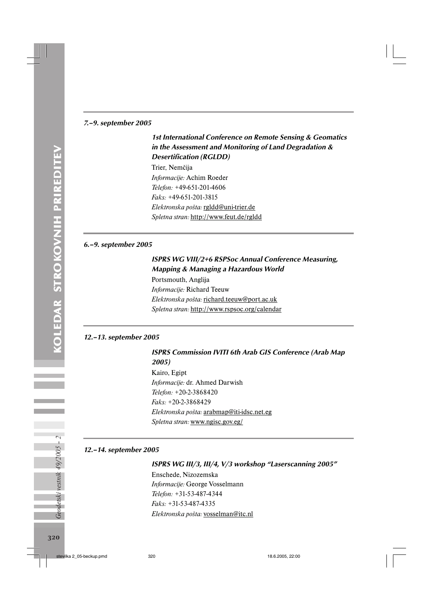#### 7.–9. september 2005

# 1st International Conference on Remote Sensing & Geomatics in the Assessment and Monitoring of Land Degradation & Desertification (RGLDD)

Trier, Nemčija *Informacije:* Achim Roeder *Telefon:* +49-651-201-4606 *Faks:* +49-651-201-3815 *Elektronska pošta:* rgldd@uni-trier.de *Spletna stran:* http://www.feut.de/rgldd

#### 6.–9. september 2005

# ISPRS WG VIII/2+6 RSPSoc Annual Conference Measuring, Mapping & Managing a Hazardous World

Portsmouth, Anglija *Informacije:* Richard Teeuw *Elektronska pošta:* richard.teeuw@port.ac.uk *Spletna stran:* http://www.rspsoc.org/calendar

#### 12.–13. september 2005

#### ISPRS Commission IVITI 6th Arab GIS Conference (Arab Map 2005)

Kairo, Egipt *Informacije:* dr. Ahmed Darwish *Telefon:* +20-2-3868420 *Faks:* +20-2-3868429 *Elektronska pošta:* arabmap@iti-idsc.net.eg *Spletna stran:* www.ngisc.gov.eg/

#### 12.–14. september 2005

#### ISPRS WG III/3, III/4, V/3 workshop "Laserscanning 2005"

Enschede, Nizozemska *Informacije:* George Vosselmann *Telefon:* +31-53-487-4344 *Faks:* +31-53-487-4335 *Elektronska pošta:* vosselman@itc.nl